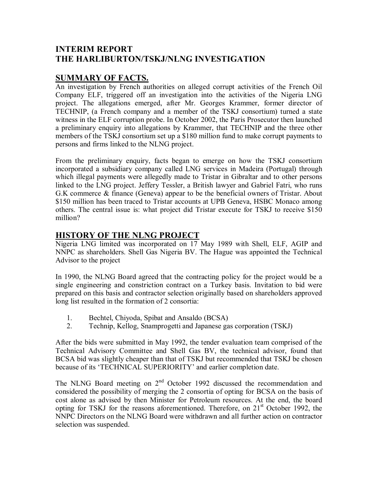## **INTERIM REPORT THE HARLIBURTON/TSKJ/NLNG INVESTIGATION**

## **SUMMARY OF FACTS.**

An investigation by French authorities on alleged corrupt activities of the French Oil Company ELF, triggered off an investigation into the activities of the Nigeria LNG project. The allegations emerged, after Mr. Georges Krammer, former director of TECHNIP, (a French company and a member of the TSKJ consortium) turned a state witness in the ELF corruption probe. In October 2002, the Paris Prosecutor then launched a preliminary enquiry into allegations by Krammer, that TECHNIP and the three other members of the TSKJ consortium set up a \$180 million fund to make corrupt payments to persons and firms linked to the NLNG project.

From the preliminary enquiry, facts began to emerge on how the TSKJ consortium incorporated a subsidiary company called LNG services in Madeira (Portugal) through which illegal payments were allegedly made to Tristar in Gibraltar and to other persons linked to the LNG project. Jeffery Tessler, a British lawyer and Gabriel Fatri, who runs G.K commerce & finance (Geneva) appear to be the beneficial owners of Tristar. About \$150 million has been traced to Tristar accounts at UPB Geneva, HSBC Monaco among others. The central issue is: what project did Tristar execute for TSKJ to receive \$150 million?

# **HISTORY OF THE NLNG PROJECT**

Nigeria LNG limited was incorporated on 17 May 1989 with Shell, ELF, AGIP and NNPC as shareholders. Shell Gas Nigeria BV. The Hague was appointed the Technical Advisor to the project

In 1990, the NLNG Board agreed that the contracting policy for the project would be a single engineering and constriction contract on a Turkey basis. Invitation to bid were prepared on this basis and contractor selection originally based on shareholders approved long list resulted in the formation of 2 consortia:

- 1. Bechtel, Chiyoda, Spibat and Ansaldo (BCSA)
- 2. Technip, Kellog, Snamprogetti and Japanese gas corporation (TSKJ)

After the bids were submitted in May 1992, the tender evaluation team comprised of the Technical Advisory Committee and Shell Gas BV, the technical advisor, found that BCSA bid was slightly cheaper than that of TSKJ but recommended that TSKJ be chosen because of its 'TECHNICAL SUPERIORITY' and earlier completion date.

The NLNG Board meeting on  $2<sup>nd</sup>$  October 1992 discussed the recommendation and considered the possibility of merging the 2 consortia of opting for BCSA on the basis of cost alone as advised by then Minister for Petroleum resources. At the end, the board opting for TSKJ for the reasons aforementioned. Therefore, on  $21<sup>st</sup>$  October 1992, the NNPC Directors on the NLNG Board were withdrawn and all further action on contractor selection was suspended.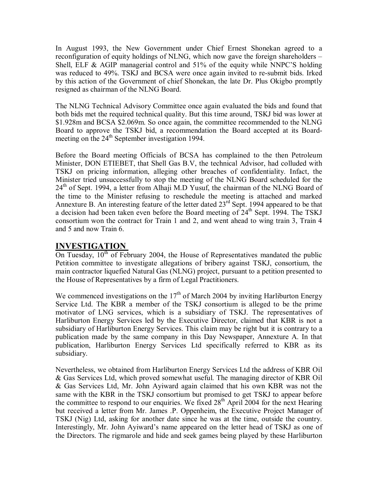In August 1993, the New Government under Chief Ernest Shonekan agreed to a reconfiguration of equity holdings of NLNG, which now gave the foreign shareholders  $-$ Shell, ELF  $\&$  AGIP managerial control and 51% of the equity while NNPC'S holding was reduced to 49%. TSKJ and BCSA were once again invited to re-submit bids. Irked by this action of the Government of chief Shonekan, the late Dr. Plus Okigbo promptly resigned as chairman of the NLNG Board.

The NLNG Technical Advisory Committee once again evaluated the bids and found that both bids met the required technical quality. But this time around, TSKJ bid was lower at \$1.928m and BCSA \$2.069m. So once again, the committee recommended to the NLNG Board to approve the TSKJ bid, a recommendation the Board accepted at its Boardmeeting on the 24<sup>th</sup> September investigation 1994.

Before the Board meeting Officials of BCSA has complained to the then Petroleum Minister, DON ETIEBET, that Shell Gas B.V, the technical Advisor, had colluded with TSKJ on pricing information, alleging other breaches of confidentiality. Infact, the Minister tried unsuccessfully to stop the meeting of the NLNG Board scheduled for the  $24<sup>th</sup>$  of Sept. 1994, a letter from Alhaji M.D Yusuf, the chairman of the NLNG Board of the time to the Minister refusing to reschedule the meeting is attached and marked Annexture B. An interesting feature of the letter dated  $23<sup>rd</sup>$  Sept. 1994 appeared to be that a decision had been taken even before the Board meeting of  $24<sup>th</sup>$  Sept. 1994. The TSKJ consortium won the contract for Train 1 and 2, and went ahead to wing train 3, Train 4 and 5 and now Train 6.

#### **INVESTIGATION**

On Tuesday,  $10^{th}$  of February 2004, the House of Representatives mandated the public Petition committee to investigate allegations of bribery against TSKJ, consortium, the main contractor liquefied Natural Gas (NLNG) project, pursuant to a petition presented to the House of Representatives by a firm of Legal Practitioners.

We commenced investigations on the  $17<sup>th</sup>$  of March 2004 by inviting Harliburton Energy Service Ltd. The KBR a member of the TSKJ consortium is alleged to be the prime motivator of LNG services, which is a subsidiary of TSKJ. The representatives of Harliburton Energy Services led by the Executive Director, claimed that KBR is not a subsidiary of Harliburton Energy Services. This claim may be right but it is contrary to a publication made by the same company in this Day Newspaper, Annexture A. In that publication, Harliburton Energy Services Ltd specifically referred to KBR as its subsidiary.

Nevertheless, we obtained from Harliburton Energy Services Ltd the address of KBR Oil & Gas Services Ltd, which proved somewhat useful. The managing director of KBR Oil & Gas Services Ltd, Mr. John Ayiward again claimed that his own KBR was not the same with the KBR in the TSKJ consortium but promised to get TSKJ to appear before the committee to respond to our enquiries. We fixed  $28<sup>th</sup>$  April 2004 for the next Hearing but received a letter from Mr. James .P. Oppenheim, the Executive Project Manager of TSKJ (Nig) Ltd, asking for another date since he was at the time, outside the country. Interestingly, Mr. John Ayiward's name appeared on the letter head of TSKJ as one of the Directors. The rigmarole and hide and seek games being played by these Harliburton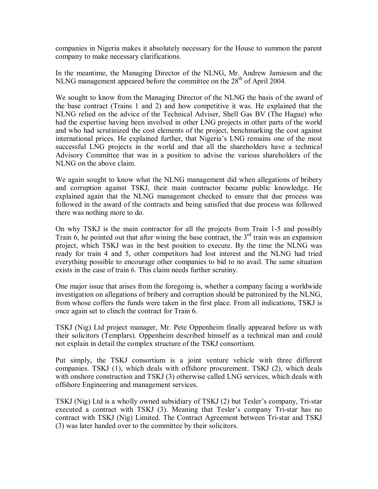companies in Nigeria makes it absolutely necessary for the House to summon the parent company to make necessary clarifications.

In the meantime, the Managing Director of the NLNG, Mr. Andrew Jamieson and the NLNG management appeared before the committee on the  $28<sup>th</sup>$  of April 2004.

We sought to know from the Managing Director of the NLNG the basis of the award of the base contract (Trains 1 and 2) and how competitive it was. He explained that the NLNG relied on the advice of the Technical Adviser, Shell Gas BV (The Hague) who had the expertise having been involved in other LNG projects in other parts of the world and who had scrutinized the cost elements of the project, benchmarking the cost against international prices. He explained further, that Nigeria's LNG remains one of the most successful LNG projects in the world and that all the shareholders have a technical Advisory Committee that was in a position to advise the various shareholders of the NLNG on the above claim.

We again sought to know what the NLNG management did when allegations of bribery and corruption against TSKJ, their main contractor became public knowledge. He explained again that the NLNG management checked to ensure that due process was followed in the award of the contracts and being satisfied that due process was followed there was nothing more to do.

On why TSKJ is the main contractor for all the projects from Train 1-5 and possibly Train 6, he pointed out that after wining the base contract, the  $3<sup>rd</sup>$  train was an expansion project, which TSKJ was in the best position to execute. By the time the NLNG was ready for train 4 and 5, other competitors had lost interest and the NLNG had tried everything possible to encourage other companies to bid to no avail. The same situation exists in the case of train 6. This claim needs further scrutiny.

One major issue that arises from the foregoing is, whether a company facing a worldwide investigation on allegations of bribery and corruption should be patronized by the NLNG, from whose coffers the funds were taken in the first place. From all indications, TSKJ is once again set to clinch the contract for Train 6.

TSKJ (Nig) Ltd project manager, Mr. Pete Oppenheim finally appeared before us with their solicitors (Templars). Oppenheim described himself as a technical man and could not explain in detail the complex structure of the TSKJ consortium.

Put simply, the TSKJ consortium is a joint venture vehicle with three different companies. TSKJ (1), which deals with offshore procurement. TSKJ (2), which deals with onshore construction and TSKJ (3) otherwise called LNG services, which deals with offshore Engineering and management services.

TSKJ (Nig) Ltd is a wholly owned subsidiary of TSKJ (2) but Tesler's company, Tri-star executed a contract with TSKJ (3). Meaning that Tesler's company Tri-star has no contract with TSKJ (Nig) Limited. The Contract Agreement between Tri-star and TSKJ (3) was later handed over to the committee by their solicitors.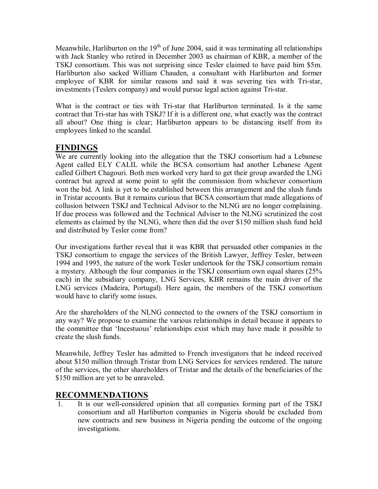Meanwhile, Harliburton on the  $19<sup>th</sup>$  of June 2004, said it was terminating all relationships with Jack Stanley who retired in December 2003 as chairman of KBR, a member of the TSKJ consortium. This was not surprising since Tesler claimed to have paid him \$5m. Harliburton also sacked William Chauden, a consultant with Harliburton and former employee of KBR for similar reasons and said it was severing ties with Tri-star, investments (Teslers company) and would pursue legal action against Tri-star.

What is the contract or ties with Tri-star that Harliburton terminated. Is it the same contract that Tri-star has with TSKJ? If it is a different one, what exactly was the contract all about? One thing is clear; Harliburton appears to be distancing itself from its employees linked to the scandal.

### **FINDINGS**

We are currently looking into the allegation that the TSKJ consortium had a Lebanese Agent called ELY CALIL while the BCSA consortium had another Lebanese Agent called Gilbert Chagouri. Both men worked very hard to get their group awarded the LNG contract but agreed at some point to split the commission from whichever consortium won the bid. A link is yet to be established between this arrangement and the slush funds in Tristar accounts. But it remains curious that BCSA consortium that made allegations of collusion between TSKJ and Technical Advisor to the NLNG are no longer complaining. If due process was followed and the Technical Adviser to the NLNG scrutinized the cost elements as claimed by the NLNG, where then did the over \$150 million slush fund held and distributed by Tesler come from?

Our investigations further reveal that it was KBR that persuaded other companies in the TSKJ consortium to engage the services of the British Lawyer, Jeffrey Tesler, between 1994 and 1995, the nature of the work Tesler undertook for the TSKJ consortium remain a mystery. Although the four companies in the TSKJ consortium own equal shares (25% each) in the subsidiary company, LNG Services, KBR remains the main driver of the LNG services (Madeira, Portugal). Here again, the members of the TSKJ consortium would have to clarify some issues.

Are the shareholders of the NLNG connected to the owners of the TSKJ consortium in any way? We propose to examine the various relationships in detail because it appears to the committee that 'Incestuous' relationships exist which may have made it possible to create the slush funds.

Meanwhile, Jeffrey Tesler has admitted to French investigators that he indeed received about \$150 million through Tristar from LNG Services for services rendered. The nature of the services, the other shareholders of Tristar and the details of the beneficiaries of the \$150 million are yet to be unraveled.

### **RECOMMENDATIONS**

1. It is our well-considered opinion that all companies forming part of the TSKJ consortium and all Harliburton companies in Nigeria should be excluded from new contracts and new business in Nigeria pending the outcome of the ongoing investigations.